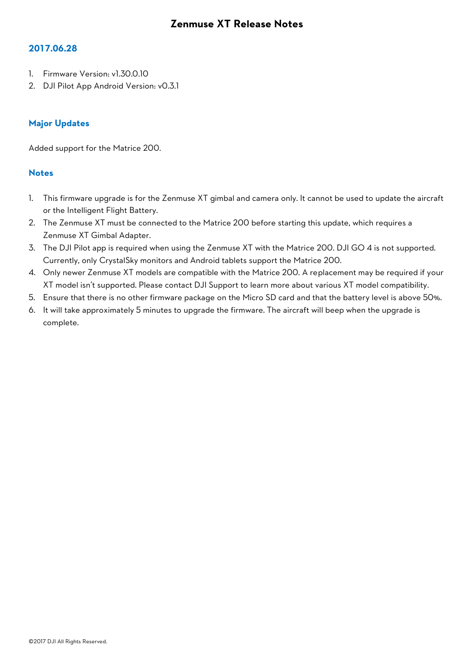### **2017.06.28**

- 1. Firmware Version: v1.30.0.10
- 2. DJI Pilot App Android Version: v0.3.1

## **Major Updates**

Added support for the Matrice 200.

- 1. This firmware upgrade is for the Zenmuse XT gimbal and camera only. It cannot be used to update the aircraft or the Intelligent Flight Battery.
- 2. The Zenmuse XT must be connected to the Matrice 200 before starting this update, which requires a Zenmuse XT Gimbal Adapter.
- 3. The DJI Pilot app is required when using the Zenmuse XT with the Matrice 200. DJI GO 4 is not supported. Currently, only CrystalSky monitors and Android tablets support the Matrice 200.
- 4. Only newer Zenmuse XT models are compatible with the Matrice 200. A replacement may be required if your XT model isn't supported. Please contact DJI Support to learn more about various XT model compatibility.
- 5. Ensure that there is no other firmware package on the Micro SD card and that the battery level is above 50%.
- 6. It will take approximately 5 minutes to upgrade the firmware. The aircraft will beep when the upgrade is complete.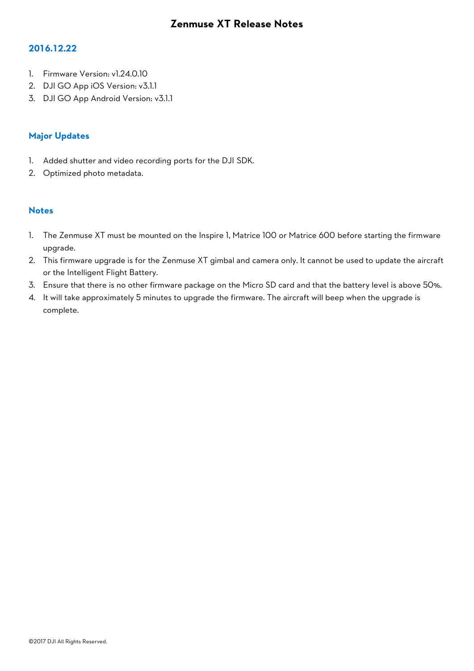## **2016.12.22**

- 1. Firmware Version: v1.24.0.10
- 2. DJI GO App iOS Version: v3.1.1
- 3. DJI GO App Android Version: v3.1.1

## **Major Updates**

- 1. Added shutter and video recording ports for the DJI SDK.
- 2. Optimized photo metadata.

- 1. The Zenmuse XT must be mounted on the Inspire 1, Matrice 100 or Matrice 600 before starting the firmware upgrade.
- 2. This firmware upgrade is for the Zenmuse XT gimbal and camera only. It cannot be used to update the aircraft or the Intelligent Flight Battery.
- 3. Ensure that there is no other firmware package on the Micro SD card and that the battery level is above 50%.
- 4. It will take approximately 5 minutes to upgrade the firmware. The aircraft will beep when the upgrade is complete.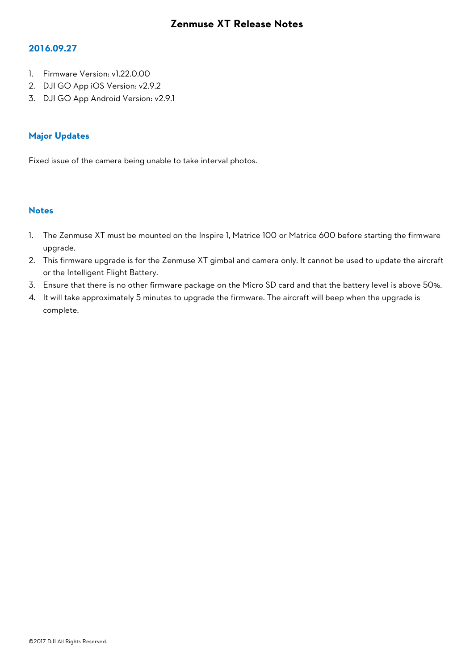## **2016.09.27**

- 1. Firmware Version: v1.22.0.00
- 2. DJI GO App iOS Version: v2.9.2
- 3. DJI GO App Android Version: v2.9.1

## **Major Updates**

Fixed issue of the camera being unable to take interval photos.

- 1. The Zenmuse XT must be mounted on the Inspire 1, Matrice 100 or Matrice 600 before starting the firmware upgrade.
- 2. This firmware upgrade is for the Zenmuse XT gimbal and camera only. It cannot be used to update the aircraft or the Intelligent Flight Battery.
- 3. Ensure that there is no other firmware package on the Micro SD card and that the battery level is above 50%.
- 4. It will take approximately 5 minutes to upgrade the firmware. The aircraft will beep when the upgrade is complete.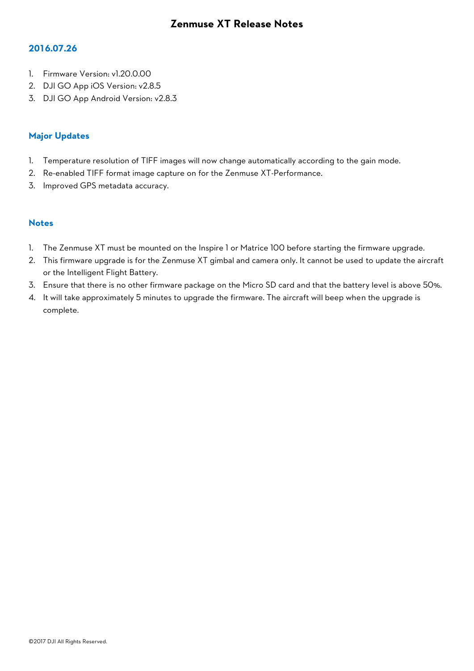### **2016.07.26**

- 1. Firmware Version: v1.20.0.00
- 2. DJI GO App iOS Version: v2.8.5
- 3. DJI GO App Android Version: v2.8.3

## **Major Updates**

- 1. Temperature resolution of TIFF images will now change automatically according to the gain mode.
- 2. Re-enabled TIFF format image capture on for the Zenmuse XT-Performance.
- 3. Improved GPS metadata accuracy.

- 1. The Zenmuse XT must be mounted on the Inspire 1 or Matrice 100 before starting the firmware upgrade.
- 2. This firmware upgrade is for the Zenmuse XT gimbal and camera only. It cannot be used to update the aircraft or the Intelligent Flight Battery.
- 3. Ensure that there is no other firmware package on the Micro SD card and that the battery level is above 50%.
- 4. It will take approximately 5 minutes to upgrade the firmware. The aircraft will beep when the upgrade is complete.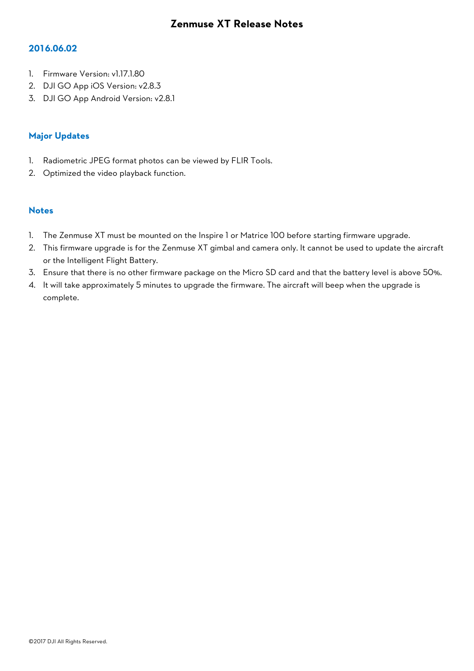## **2016.06.02**

- 1. Firmware Version: v1.17.1.80
- 2. DJI GO App iOS Version: v2.8.3
- 3. DJI GO App Android Version: v2.8.1

## **Major Updates**

- 1. Radiometric JPEG format photos can be viewed by FLIR Tools.
- 2. Optimized the video playback function.

- 1. The Zenmuse XT must be mounted on the Inspire 1 or Matrice 100 before starting firmware upgrade.
- 2. This firmware upgrade is for the Zenmuse XT gimbal and camera only. It cannot be used to update the aircraft or the Intelligent Flight Battery.
- 3. Ensure that there is no other firmware package on the Micro SD card and that the battery level is above 50%.
- 4. It will take approximately 5 minutes to upgrade the firmware. The aircraft will beep when the upgrade is complete.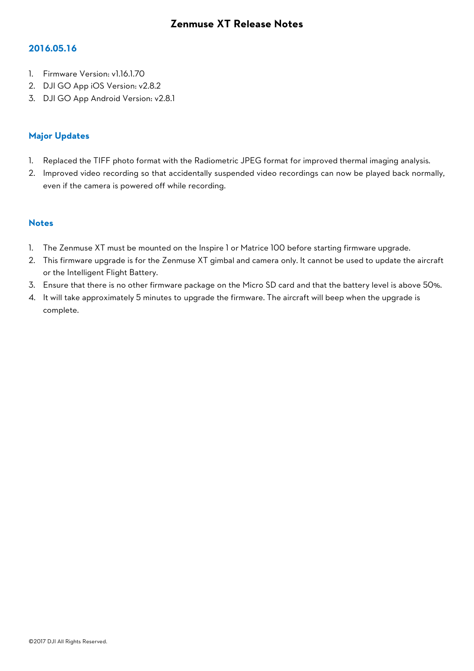### **2016.05.16**

- 1. Firmware Version: v1.16.1.70
- 2. DJI GO App iOS Version: v2.8.2
- 3. DJI GO App Android Version: v2.8.1

## **Major Updates**

- 1. Replaced the TIFF photo format with the Radiometric JPEG format for improved thermal imaging analysis.
- 2. Improved video recording so that accidentally suspended video recordings can now be played back normally, even if the camera is powered off while recording.

- 1. The Zenmuse XT must be mounted on the Inspire 1 or Matrice 100 before starting firmware upgrade.
- 2. This firmware upgrade is for the Zenmuse XT gimbal and camera only. It cannot be used to update the aircraft or the Intelligent Flight Battery.
- 3. Ensure that there is no other firmware package on the Micro SD card and that the battery level is above 50%.
- 4. It will take approximately 5 minutes to upgrade the firmware. The aircraft will beep when the upgrade is complete.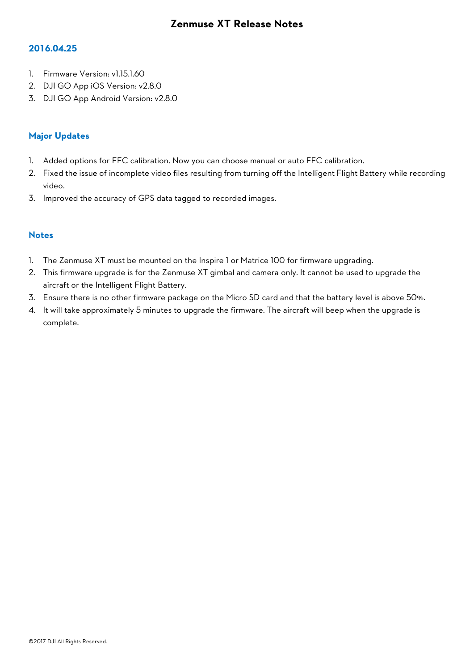#### **2016.04.25**

- 1. Firmware Version: v1.15.1.60
- 2. DJI GO App iOS Version: v2.8.0
- 3. DJI GO App Android Version: v2.8.0

## **Major Updates**

- 1. Added options for FFC calibration. Now you can choose manual or auto FFC calibration.
- 2. Fixed the issue of incomplete video files resulting from turning off the Intelligent Flight Battery while recording video.
- 3. Improved the accuracy of GPS data tagged to recorded images.

- 1. The Zenmuse XT must be mounted on the Inspire 1 or Matrice 100 for firmware upgrading.
- 2. This firmware upgrade is for the Zenmuse XT gimbal and camera only. It cannot be used to upgrade the aircraft or the Intelligent Flight Battery.
- 3. Ensure there is no other firmware package on the Micro SD card and that the battery level is above 50%.
- 4. It will take approximately 5 minutes to upgrade the firmware. The aircraft will beep when the upgrade is complete.